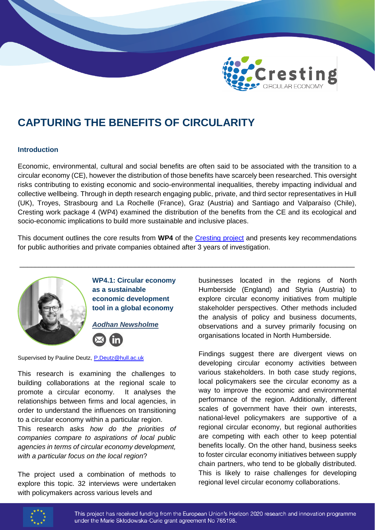

# **CAPTURING THE BENEFITS OF CIRCULARITY**

## **Introduction**

Economic, environmental, cultural and social benefits are often said to be associated with the transition to a circular economy (CE), however the distribution of those benefits have scarcely been researched. This oversight risks contributing to existing economic and socio-environmental inequalities, thereby impacting individual and collective wellbeing. Through in depth research engaging public, private, and third sector representatives in Hull (UK), Troyes, Strasbourg and La Rochelle (France), Graz (Austria) and Santiago and Valparaíso (Chile), Cresting work package 4 (WP4) examined the distribution of the benefits from the CE and its ecological and socio-economic implications to build more sustainable and inclusive places.

This document outlines the core results from **WP4** of the [Cresting project](https://cresting.hull.ac.uk/) and presents key recommendations for public authorities and private companies obtained after 3 years of investigation.

\_\_\_\_\_\_\_\_\_\_\_\_\_\_\_\_\_\_\_\_\_\_\_\_\_\_\_\_\_\_\_\_\_\_\_\_\_\_\_\_\_\_\_\_\_\_\_\_\_\_\_\_\_\_\_\_\_\_\_\_\_\_\_\_\_\_\_\_\_\_\_\_\_\_\_\_\_\_\_\_\_\_\_\_\_\_\_



**WP4.1: Circular economy as a sustainable economic development tool in a global economy**

*Aodhan Newsholme*



Supervised by Pauline Deutz, [P.Deutz@hull.ac.uk](mailto:P.Deutz@hull.ac.uk)

This research is examining the challenges to building collaborations at the regional scale to promote a circular economy. It analyses the relationships between firms and local agencies, in order to understand the influences on transitioning to a circular economy within a particular region.

This research asks *how do the priorities of companies compare to aspirations of local public agencies in terms of circular economy development, with a particular focus on the local region*?

The project used a combination of methods to explore this topic. 32 interviews were undertaken with policymakers across various levels and

businesses located in the regions of North Humberside (England) and Styria (Austria) to explore circular economy initiatives from multiple stakeholder perspectives. Other methods included the analysis of policy and business documents, observations and a survey primarily focusing on organisations located in North Humberside.

Findings suggest there are divergent views on developing circular economy activities between various stakeholders. In both case study regions, local policymakers see the circular economy as a way to improve the economic and environmental performance of the region. Additionally, different scales of government have their own interests, national-level policymakers are supportive of a regional circular economy, but regional authorities are competing with each other to keep potential benefits locally. On the other hand, business seeks to foster circular economy initiatives between supply chain partners, who tend to be globally distributed. This is likely to raise challenges for developing regional level circular economy collaborations.

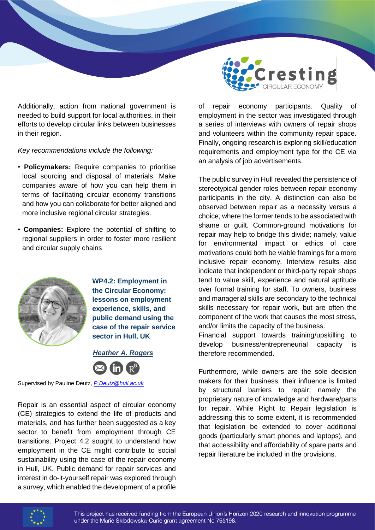

Additionally, action from national government is needed to build support for local authorities, in their efforts to develop circular links between businesses in their region.

#### *Key recommendations include the following:*

- **Policymakers:** Require companies to prioritise local sourcing and disposal of materials. Make companies aware of how you can help them in terms of facilitating circular economy transitions and how you can collaborate for better aligned and more inclusive regional circular strategies.
- **Companies:** Explore the potential of shifting to regional suppliers in order to foster more resilient and circular supply chains



**WP4.2: Employment in the Circular Economy: lessons on employment experience, skills, and public demand using the case of the repair service sector in Hull, UK**

 *Heather A. Rogers* 

Supervised by Pauline Deutz, *[P.Deutz@hull.ac.uk](mailto:P.Deutz@hull.ac.uk)*

Repair is an essential aspect of circular economy (CE) strategies to extend the life of products and materials, and has further been suggested as a key sector to benefit from employment through CE transitions. Project 4.2 sought to understand how employment in the CE might contribute to social sustainability using the case of the repair economy in Hull, UK. Public demand for repair services and interest in do-it-yourself repair was explored through a survey, which enabled the development of a profile

of repair economy participants. Quality of employment in the sector was investigated through a series of interviews with owners of repair shops and volunteers within the community repair space. Finally, ongoing research is exploring skill/education requirements and employment type for the CE via an analysis of job advertisements.

The public survey in Hull revealed the persistence of stereotypical gender roles between repair economy participants in the city. A distinction can also be observed between repair as a necessity versus a choice, where the former tends to be associated with shame or guilt. Common-ground motivations for repair may help to bridge this divide; namely, value for environmental impact or ethics of care motivations could both be viable framings for a more inclusive repair economy. Interview results also indicate that independent or third-party repair shops tend to value skill, experience and natural aptitude over formal training for staff. To owners, business and managerial skills are secondary to the technical skills necessary for repair work, but are often the component of the work that causes the most stress, and/or limits the capacity of the business.

Financial support towards training/upskilling to develop business/entrepreneurial capacity is therefore recommended.

Furthermore, while owners are the sole decision makers for their business, their influence is limited by structural barriers to repair; namely the proprietary nature of knowledge and hardware/parts for repair. While Right to Repair legislation is addressing this to some extent, it is recommended that legislation be extended to cover additional goods (particularly smart phones and laptops), and that accessibility and affordability of spare parts and repair literature be included in the provisions.

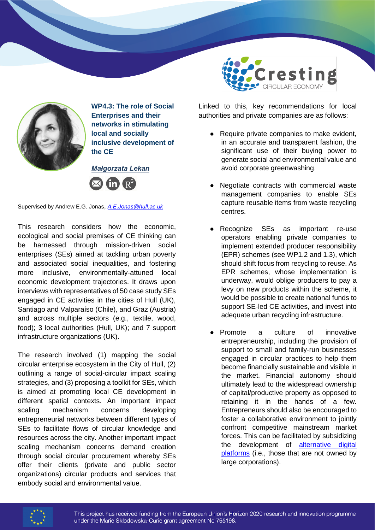

**WP4.3: The role of Social Enterprises and their networks in stimulating local and socially inclusive development of the CE**

*Małgorzata Lekan* 



Supervised by Andrew E.G. Jonas, *[A.E.Jonas@hull.ac.uk](mailto:A.E.Jonas@hull.ac.uk)*

This research considers how the economic, ecological and social premises of CE thinking can be harnessed through mission-driven social enterprises (SEs) aimed at tackling urban poverty and associated social inequalities, and fostering more inclusive, environmentally-attuned local economic development trajectories. It draws upon interviews with representatives of 50 case study SEs engaged in CE activities in the cities of Hull (UK), Santiago and Valparaíso (Chile), and Graz (Austria) and across multiple sectors (e.g., textile, wood, food); 3 local authorities (Hull, UK); and 7 support infrastructure organizations (UK).

The research involved (1) mapping the social circular enterprise ecosystem in the City of Hull, (2) outlining a range of social-circular impact scaling strategies, and (3) proposing a toolkit for SEs, which is aimed at promoting local CE development in different spatial contexts. An important impact scaling mechanism concerns developing entrepreneurial networks between different types of SEs to facilitate flows of circular knowledge and resources across the city. Another important impact scaling mechanism concerns demand creation through social circular procurement whereby SEs offer their clients (private and public sector organizations) circular products and services that embody social and environmental value.



Linked to this, key recommendations for local authorities and private companies are as follows:

- Require private companies to make evident, in an accurate and transparent fashion, the significant use of their buying power to generate social and environmental value and avoid corporate greenwashing.
- Negotiate contracts with commercial waste management companies to enable SEs capture reusable items from waste recycling centres.
- Recognize SEs as important re-use operators enabling private companies to implement extended producer responsibility (EPR) schemes (see WP1.2 and 1.3), which should shift focus from recycling to reuse. As EPR schemes, whose implementation is underway, would oblige producers to pay a levy on new products within the scheme, it would be possible to create national funds to support SE-led CE activities, and invest into adequate urban recycling infrastructure.
- Promote a culture of innovative entrepreneurship, including the provision of support to small and family-run businesses engaged in circular practices to help them become financially sustainable and visible in the market. Financial autonomy should ultimately lead to the widespread ownership of capital/productive property as opposed to retaining it in the hands of a few. Entrepreneurs should also be encouraged to foster a collaborative environment to jointly confront competitive mainstream market forces. This can be facilitated by subsidizing the development of [alternative digital](https://www.circularconversations.com/research-series-young-researchers/digital-social-capital-the-glue-behind-diverse-circular-economies-amidst-covid-19)  [platforms](https://www.circularconversations.com/research-series-young-researchers/digital-social-capital-the-glue-behind-diverse-circular-economies-amidst-covid-19) (i.e., those that are not owned by large corporations).

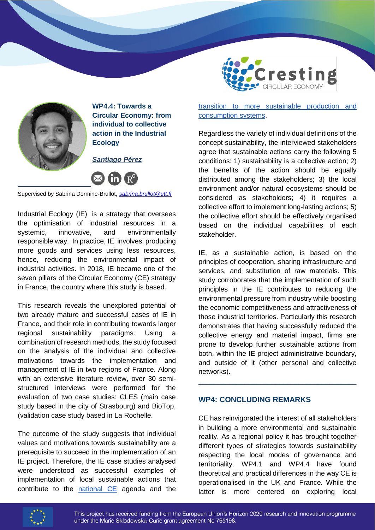

**WP4.4: Towards a Circular Economy: from individual to collective action in the Industrial Ecology**

*Santiago Pérez* 



Supervised by Sabrina Dermine-Brullot, *[sabrina.brullot@utt.fr](mailto:sabrina.brullot@utt.fr)*

Industrial Ecology (IE) is a strategy that oversees the optimisation of industrial resources in a systemic, innovative, and environmentally responsible way. In practice, IE involves producing more goods and services using less resources, hence, reducing the environmental impact of industrial activities. In 2018, IE became one of the seven pillars of the Circular Economy (CE) strategy in France, the country where this study is based.

This research reveals the unexplored potential of two already mature and successful cases of IE in France, and their role in contributing towards larger regional sustainability paradigms. Using a combination of research methods, the study focused on the analysis of the individual and collective motivations towards the implementation and management of IE in two regions of France. Along with an extensive literature review, over 30 semistructured interviews were performed for the evaluation of two case studies: CLES (main case study based in the city of Strasbourg) and BioTop, (validation case study based in La Rochelle.

The outcome of the study suggests that individual values and motivations towards sustainability are a prerequisite to succeed in the implementation of an IE project. Therefore, the IE case studies analysed were understood as successful examples of implementation of local sustainable actions that contribute to the [national CE](https://www.ecologie.gouv.fr/feuille-route-economie-circulaire-frec) agenda and the



[transition to more sustainable production and](https://www.ecologie.gouv.fr/lecologie-industrielle-et-territoriale)  [consumption systems.](https://www.ecologie.gouv.fr/lecologie-industrielle-et-territoriale)

Regardless the variety of individual definitions of the concept sustainability, the interviewed stakeholders agree that sustainable actions carry the following 5 conditions: 1) sustainability is a collective action; 2) the benefits of the action should be equally distributed among the stakeholders; 3) the local environment and/or natural ecosystems should be considered as stakeholders; 4) it requires a collective effort to implement long-lasting actions; 5) the collective effort should be effectively organised based on the individual capabilities of each stakeholder.

IE, as a sustainable action, is based on the principles of cooperation, sharing infrastructure and services, and substitution of raw materials. This study corroborates that the implementation of such principles in the IE contributes to reducing the environmental pressure from industry while boosting the economic competitiveness and attractiveness of those industrial territories. Particularly this research demonstrates that having successfully reduced the collective energy and material impact, firms are prone to develop further sustainable actions from both, within the IE project administrative boundary, and outside of it (other personal and collective networks).

\_\_\_\_\_\_\_\_\_\_\_\_\_\_\_\_\_\_\_\_\_\_\_\_\_\_\_\_\_\_\_\_\_\_\_\_\_\_\_\_\_

# **WP4: CONCLUDING REMARKS**

CE has reinvigorated the interest of all stakeholders in building a more environmental and sustainable reality. As a regional policy it has brought together different types of strategies towards sustainability respecting the local modes of governance and territoriality. WP4.1 and WP4.4 have found theoretical and practical differences in the way CE is operationalised in the UK and France. While the latter is more centered on exploring local



This project has received funding from the European Union's Horizon 2020 research and innovation programme under the Marie Skłodowska-Curie grant agreement No 765198.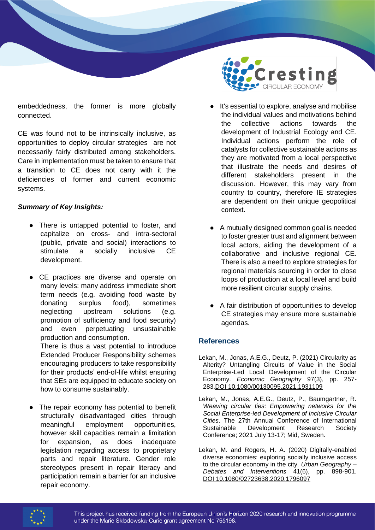embeddedness, the former is more globally connected.

CE was found not to be intrinsically inclusive, as opportunities to deploy circular strategies are not necessarily fairly distributed among stakeholders. Care in implementation must be taken to ensure that a transition to CE does not carry with it the deficiencies of former and current economic systems.

## *Summary of Key Insights:*

- There is untapped potential to foster, and capitalize on cross- and intra-sectoral (public, private and social) interactions to stimulate a socially inclusive CE development.
- CE practices are diverse and operate on many levels: many address immediate short term needs (e.g. avoiding food waste by donating surplus food), sometimes neglecting upstream solutions (e.g. promotion of sufficiency and food security) and even perpetuating unsustainable production and consumption.

There is thus a vast potential to introduce Extended Producer Responsibility schemes encouraging producers to take responsibility for their products' end-of-life whilst ensuring that SEs are equipped to educate society on how to consume sustainably.

The repair economy has potential to benefit structurally disadvantaged cities through meaningful employment opportunities, however skill capacities remain a limitation for expansion, as does inadequate legislation regarding access to proprietary parts and repair literature. Gender role stereotypes present in repair literacy and participation remain a barrier for an inclusive repair economy.



- It's essential to explore, analyse and mobilise the individual values and motivations behind the collective actions towards the development of Industrial Ecology and CE. Individual actions perform the role of catalysts for collective sustainable actions as they are motivated from a local perspective that illustrate the needs and desires of different stakeholders present in the discussion. However, this may vary from country to country, therefore IE strategies are dependent on their unique geopolitical context.
- A mutually designed common goal is needed to foster greater trust and alignment between local actors, aiding the development of a collaborative and inclusive regional CE. There is also a need to explore strategies for regional materials sourcing in order to close loops of production at a local level and build more resilient circular supply chains.
- A fair distribution of opportunities to develop CE strategies may ensure more sustainable agendas.

# **References**

- Lekan, M., Jonas, A.E.G., Deutz, P. (2021) Circularity as Alterity? Untangling Circuits of Value in the Social Enterprise-Led Local Development of the Circular Economy. *Economic Geography* 97(3), pp. 257- 283[.DOI 10.1080/00130095.2021.1931109](https://doi.org/10.1080/00130095.2021.1931109)
- Lekan, M., Jonas, A.E.G., Deutz, P., Baumgartner, R. *Weaving circular ties: Empowering networks for the Social Enterprise-led Development of Inclusive Circular Cities*. The 27th Annual Conference of International Sustainable Development Research Society Conference; 2021 July 13-17; Mid, Sweden.
- Lekan, M. and Rogers, H. A. (2020) Digitally-enabled diverse economies: exploring socially inclusive access to the circular economy in the city. *Urban Geography – Debates and Interventions* 41(6), pp. 898-90[1.](https://doi.org/10.1080/02723638.2020.1796097)  [DOI 10.1080/02723638.2020.1796097](https://doi.org/10.1080/02723638.2020.1796097)